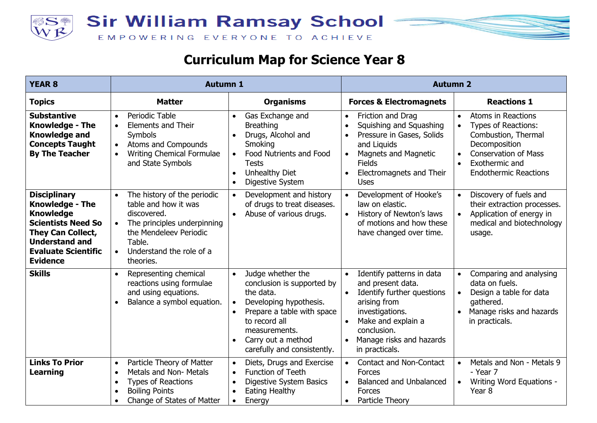



| <b>YEAR 8</b>                                                                                                                                                                                 | <b>Autumn 1</b>                                                                                                                                                                                                       |                                                                                                                                                                                                                                                                 | <b>Autumn 2</b>                                                                                                                                                                                                                                      |                                                                                                                                                                                                           |  |
|-----------------------------------------------------------------------------------------------------------------------------------------------------------------------------------------------|-----------------------------------------------------------------------------------------------------------------------------------------------------------------------------------------------------------------------|-----------------------------------------------------------------------------------------------------------------------------------------------------------------------------------------------------------------------------------------------------------------|------------------------------------------------------------------------------------------------------------------------------------------------------------------------------------------------------------------------------------------------------|-----------------------------------------------------------------------------------------------------------------------------------------------------------------------------------------------------------|--|
| <b>Topics</b>                                                                                                                                                                                 | <b>Matter</b>                                                                                                                                                                                                         | <b>Organisms</b>                                                                                                                                                                                                                                                | <b>Forces &amp; Electromagnets</b>                                                                                                                                                                                                                   | <b>Reactions 1</b>                                                                                                                                                                                        |  |
| <b>Substantive</b><br><b>Knowledge - The</b><br><b>Knowledge and</b><br><b>Concepts Taught</b><br><b>By The Teacher</b>                                                                       | Periodic Table<br>$\bullet$<br><b>Elements and Their</b><br>$\bullet$<br>Symbols<br>Atoms and Compounds<br>$\bullet$<br>Writing Chemical Formulae<br>$\bullet$<br>and State Symbols                                   | Gas Exchange and<br>$\bullet$<br><b>Breathing</b><br>Drugs, Alcohol and<br>$\bullet$<br>Smoking<br>Food Nutrients and Food<br>Tests<br><b>Unhealthy Diet</b><br>$\bullet$<br>Digestive System<br>$\bullet$                                                      | Friction and Drag<br>$\bullet$<br>Squishing and Squashing<br>$\bullet$<br>Pressure in Gases, Solids<br>$\bullet$<br>and Liquids<br><b>Magnets and Magnetic</b><br>$\bullet$<br><b>Fields</b><br>Electromagnets and Their<br>$\bullet$<br><b>Uses</b> | Atoms in Reactions<br>$\bullet$<br>Types of Reactions:<br>Combustion, Thermal<br>Decomposition<br><b>Conservation of Mass</b><br>$\bullet$<br>Exothermic and<br>$\bullet$<br><b>Endothermic Reactions</b> |  |
| <b>Disciplinary</b><br><b>Knowledge - The</b><br><b>Knowledge</b><br><b>Scientists Need So</b><br>They Can Collect,<br><b>Understand and</b><br><b>Evaluate Scientific</b><br><b>Evidence</b> | The history of the periodic<br>$\bullet$<br>table and how it was<br>discovered.<br>The principles underpinning<br>$\bullet$<br>the Mendeleev Periodic<br>Table.<br>Understand the role of a<br>$\bullet$<br>theories. | Development and history<br>$\bullet$<br>of drugs to treat diseases.<br>Abuse of various drugs.<br>$\bullet$                                                                                                                                                     | Development of Hooke's<br>$\bullet$<br>law on elastic.<br>History of Newton's laws<br>$\bullet$<br>of motions and how these<br>have changed over time.                                                                                               | Discovery of fuels and<br>$\bullet$<br>their extraction processes.<br>Application of energy in<br>medical and biotechnology<br>usage.                                                                     |  |
| <b>Skills</b>                                                                                                                                                                                 | Representing chemical<br>reactions using formulae<br>and using equations.<br>Balance a symbol equation.<br>$\bullet$                                                                                                  | Judge whether the<br>$\bullet$<br>conclusion is supported by<br>the data.<br>Developing hypothesis.<br>$\bullet$<br>Prepare a table with space<br>$\bullet$<br>to record all<br>measurements.<br>Carry out a method<br>$\bullet$<br>carefully and consistently. | Identify patterns in data<br>$\bullet$<br>and present data.<br>Identify further questions<br>arising from<br>investigations.<br>Make and explain a<br>$\bullet$<br>conclusion.<br>Manage risks and hazards<br>$\bullet$<br>in practicals.            | Comparing and analysing<br>data on fuels.<br>Design a table for data<br>gathered.<br>Manage risks and hazards<br>$\bullet$<br>in practicals.                                                              |  |
| <b>Links To Prior</b><br><b>Learning</b>                                                                                                                                                      | Particle Theory of Matter<br>$\bullet$<br>Metals and Non- Metals<br>$\bullet$<br><b>Types of Reactions</b><br>$\bullet$<br><b>Boiling Points</b><br>$\bullet$<br>Change of States of Matter                           | Diets, Drugs and Exercise<br>$\bullet$<br><b>Function of Teeth</b><br>$\bullet$<br>Digestive System Basics<br>$\bullet$<br>Eating Healthy<br>$\bullet$<br>Energy<br>$\bullet$                                                                                   | <b>Contact and Non-Contact</b><br>$\bullet$<br><b>Forces</b><br><b>Balanced and Unbalanced</b><br>$\bullet$<br><b>Forces</b><br>Particle Theory<br>$\bullet$                                                                                         | Metals and Non - Metals 9<br>$\bullet$<br>- Year 7<br>Writing Word Equations -<br>Year <sub>8</sub>                                                                                                       |  |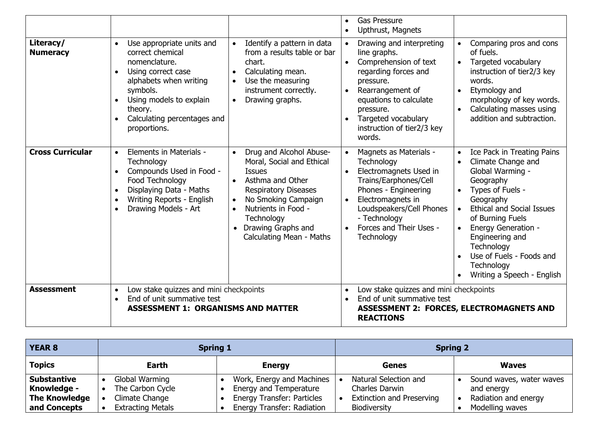|                              |                                                                                                                                                                                                                                                        |                                                                                                                                                                                                                                                       | <b>Gas Pressure</b><br>$\bullet$<br>Upthrust, Magnets<br>$\bullet$                                                                                                                                                                                                                   |                                                                                                                                                                                                                                                                                                                                |
|------------------------------|--------------------------------------------------------------------------------------------------------------------------------------------------------------------------------------------------------------------------------------------------------|-------------------------------------------------------------------------------------------------------------------------------------------------------------------------------------------------------------------------------------------------------|--------------------------------------------------------------------------------------------------------------------------------------------------------------------------------------------------------------------------------------------------------------------------------------|--------------------------------------------------------------------------------------------------------------------------------------------------------------------------------------------------------------------------------------------------------------------------------------------------------------------------------|
| Literacy/<br><b>Numeracy</b> | Use appropriate units and<br>$\bullet$<br>correct chemical<br>nomenclature.<br>Using correct case<br>$\bullet$<br>alphabets when writing<br>symbols.<br>Using models to explain<br>$\bullet$<br>theory.<br>Calculating percentages and<br>proportions. | Identify a pattern in data<br>from a results table or bar<br>chart.<br>Calculating mean.<br>Use the measuring<br>instrument correctly.<br>Drawing graphs.<br>$\bullet$                                                                                | Drawing and interpreting<br>$\bullet$<br>line graphs.<br>Comprehension of text<br>$\bullet$<br>regarding forces and<br>pressure.<br>Rearrangement of<br>$\bullet$<br>equations to calculate<br>pressure.<br>Targeted vocabulary<br>$\bullet$<br>instruction of tier2/3 key<br>words. | Comparing pros and cons<br>of fuels.<br>Targeted vocabulary<br>$\bullet$<br>instruction of tier2/3 key<br>words.<br>Etymology and<br>morphology of key words.<br>Calculating masses using<br>addition and subtraction.                                                                                                         |
| <b>Cross Curricular</b>      | Elements in Materials -<br>$\bullet$<br>Technology<br>Compounds Used in Food -<br>$\bullet$<br>Food Technology<br>Displaying Data - Maths<br>$\bullet$<br>Writing Reports - English<br>$\bullet$<br>Drawing Models - Art<br>$\bullet$                  | Drug and Alcohol Abuse-<br>Moral, Social and Ethical<br><b>Issues</b><br>Asthma and Other<br><b>Respiratory Diseases</b><br>No Smoking Campaign<br>$\bullet$<br>Nutrients in Food -<br>Technology<br>• Drawing Graphs and<br>Calculating Mean - Maths | Magnets as Materials -<br>$\bullet$<br>Technology<br>Electromagnets Used in<br>$\bullet$<br>Trains/Earphones/Cell<br>Phones - Engineering<br>Electromagnets in<br>$\bullet$<br>Loudspeakers/Cell Phones<br>- Technology<br>Forces and Their Uses -<br>$\bullet$<br>Technology        | Ice Pack in Treating Pains<br>Climate Change and<br>Global Warming -<br>Geography<br>Types of Fuels -<br>Geography<br><b>Ethical and Social Issues</b><br>of Burning Fuels<br><b>Energy Generation -</b><br>$\bullet$<br>Engineering and<br>Technology<br>Use of Fuels - Foods and<br>Technology<br>Writing a Speech - English |
| <b>Assessment</b>            | Low stake quizzes and mini checkpoints<br>$\bullet$<br>End of unit summative test<br>$\bullet$<br><b>ASSESSMENT 1: ORGANISMS AND MATTER</b>                                                                                                            |                                                                                                                                                                                                                                                       | Low stake quizzes and mini checkpoints<br>$\bullet$<br>End of unit summative test<br>$\bullet$<br><b>ASSESSMENT 2: FORCES, ELECTROMAGNETS AND</b><br><b>REACTIONS</b>                                                                                                                |                                                                                                                                                                                                                                                                                                                                |

| <b>YEAR 8</b>                       | <b>Spring 1</b>                    |                                                             | <b>Spring 2</b>                         |                                    |  |
|-------------------------------------|------------------------------------|-------------------------------------------------------------|-----------------------------------------|------------------------------------|--|
| <b>Topics</b>                       | <b>Earth</b><br><b>Energy</b>      |                                                             | <b>Genes</b>                            | <b>Waves</b>                       |  |
| <b>Substantive</b>                  | Global Warming                     | Work, Energy and Machines                                   | Natural Selection and<br>Charles Darwin | Sound waves, water waves           |  |
| Knowledge -<br><b>The Knowledge</b> | The Carbon Cycle<br>Climate Change | Energy and Temperature<br><b>Energy Transfer: Particles</b> | <b>Extinction and Preserving</b>        | and energy<br>Radiation and energy |  |
| and Concepts                        | <b>Extracting Metals</b>           | Energy Transfer: Radiation                                  | <b>Biodiversity</b>                     | Modelling waves                    |  |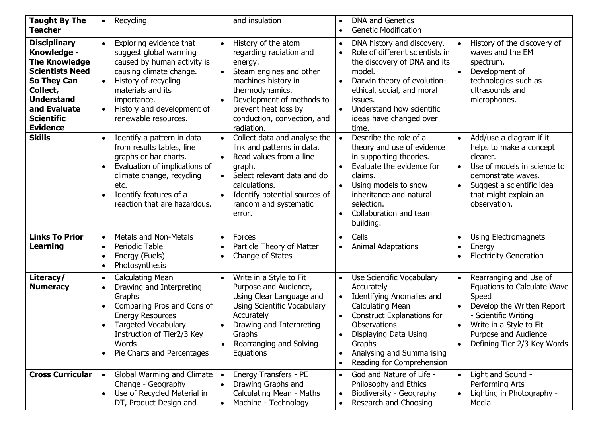| <b>Taught By The</b><br><b>Teacher</b>                                                                                                                                                              | $\bullet$                                        | Recycling                                                                                                                                                                                                                     |                                     | and insulation                                                                                                                                                                                                                   |                        | <b>DNA and Genetics</b><br><b>Genetic Modification</b>                                                                                                                                                                                                   |           |                                                                                                                                                                                                               |
|-----------------------------------------------------------------------------------------------------------------------------------------------------------------------------------------------------|--------------------------------------------------|-------------------------------------------------------------------------------------------------------------------------------------------------------------------------------------------------------------------------------|-------------------------------------|----------------------------------------------------------------------------------------------------------------------------------------------------------------------------------------------------------------------------------|------------------------|----------------------------------------------------------------------------------------------------------------------------------------------------------------------------------------------------------------------------------------------------------|-----------|---------------------------------------------------------------------------------------------------------------------------------------------------------------------------------------------------------------|
| <b>Disciplinary</b><br>Knowledge -<br><b>The Knowledge</b><br><b>Scientists Need</b><br><b>So They Can</b><br>Collect,<br><b>Understand</b><br>and Evaluate<br><b>Scientific</b><br><b>Evidence</b> | $\bullet$<br>$\bullet$<br>$\bullet$              | Exploring evidence that<br>suggest global warming<br>caused by human activity is<br>causing climate change.<br>History of recycling<br>materials and its<br>importance.<br>History and development of<br>renewable resources. | $\bullet$<br>$\bullet$              | History of the atom<br>regarding radiation and<br>energy.<br>Steam engines and other<br>machines history in<br>thermodynamics.<br>Development of methods to<br>prevent heat loss by<br>conduction, convection, and<br>radiation. | $\bullet$<br>$\bullet$ | DNA history and discovery.<br>Role of different scientists in<br>the discovery of DNA and its<br>model.<br>Darwin theory of evolution-<br>ethical, social, and moral<br>issues.<br>Understand how scientific<br>ideas have changed over<br>time.         |           | History of the discovery of<br>waves and the EM<br>spectrum.<br>Development of<br>technologies such as<br>ultrasounds and<br>microphones.                                                                     |
| <b>Skills</b>                                                                                                                                                                                       |                                                  | Identify a pattern in data<br>from results tables, line<br>graphs or bar charts.<br>Evaluation of implications of<br>climate change, recycling<br>etc.<br>Identify features of a<br>reaction that are hazardous.              | $\bullet$<br>$\bullet$<br>$\bullet$ | Collect data and analyse the<br>link and patterns in data.<br>Read values from a line<br>graph.<br>Select relevant data and do<br>calculations.<br>Identify potential sources of<br>random and systematic<br>error.              | $\bullet$              | Describe the role of a<br>theory and use of evidence<br>in supporting theories.<br>Evaluate the evidence for<br>claims.<br>Using models to show<br>inheritance and natural<br>selection.<br>Collaboration and team<br>building.                          | $\bullet$ | Add/use a diagram if it<br>helps to make a concept<br>clearer.<br>Use of models in science to<br>demonstrate waves.<br>Suggest a scientific idea<br>that might explain an<br>observation.                     |
| <b>Links To Prior</b><br><b>Learning</b>                                                                                                                                                            | $\bullet$<br>$\bullet$<br>$\bullet$<br>$\bullet$ | <b>Metals and Non-Metals</b><br>Periodic Table<br>Energy (Fuels)<br>Photosynthesis                                                                                                                                            | $\bullet$<br>$\bullet$<br>$\bullet$ | Forces<br>Particle Theory of Matter<br>Change of States                                                                                                                                                                          | $\bullet$              | Cells<br><b>Animal Adaptations</b>                                                                                                                                                                                                                       | $\bullet$ | Using Electromagnets<br>Energy<br><b>Electricity Generation</b>                                                                                                                                               |
| Literacy/<br><b>Numeracy</b>                                                                                                                                                                        | $\bullet$<br>$\bullet$<br>$\bullet$<br>$\bullet$ | <b>Calculating Mean</b><br>Drawing and Interpreting<br>Graphs<br>Comparing Pros and Cons of<br><b>Energy Resources</b><br><b>Targeted Vocabulary</b><br>Instruction of Tier2/3 Key<br>Words<br>Pie Charts and Percentages     | $\bullet$                           | Write in a Style to Fit<br>Purpose and Audience,<br>Using Clear Language and<br>Using Scientific Vocabulary<br>Accurately<br>Drawing and Interpreting<br>Graphs<br>Rearranging and Solving<br>Equations                          |                        | Use Scientific Vocabulary<br>Accurately<br><b>Identifying Anomalies and</b><br><b>Calculating Mean</b><br><b>Construct Explanations for</b><br>Observations<br>Displaying Data Using<br>Graphs<br>Analysing and Summarising<br>Reading for Comprehension | $\bullet$ | Rearranging and Use of<br><b>Equations to Calculate Wave</b><br>Speed<br>Develop the Written Report<br>- Scientific Writing<br>Write in a Style to Fit<br>Purpose and Audience<br>Defining Tier 2/3 Key Words |
| <b>Cross Curricular</b>                                                                                                                                                                             | $\bullet$                                        | Global Warming and Climate<br>Change - Geography<br>Use of Recycled Material in<br>DT, Product Design and                                                                                                                     |                                     | Energy Transfers - PE<br>Drawing Graphs and<br>Calculating Mean - Maths<br>Machine - Technology                                                                                                                                  |                        | God and Nature of Life -<br>Philosophy and Ethics<br>Biodiversity - Geography<br>Research and Choosing                                                                                                                                                   |           | Light and Sound -<br>Performing Arts<br>Lighting in Photography -<br>Media                                                                                                                                    |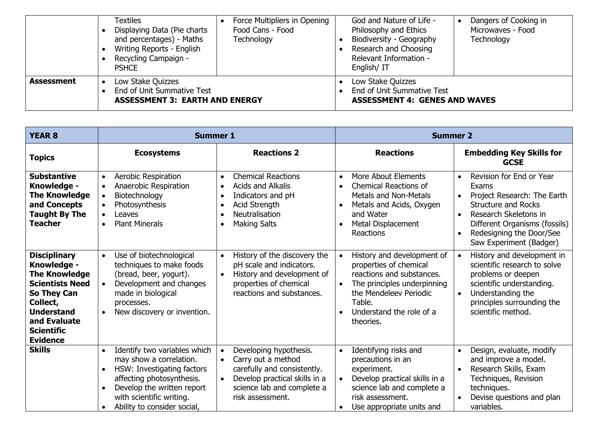|                   | Textiles<br>Displaying Data (Pie charts<br>and percentages) - Maths<br>Writing Reports - English<br>Recycling Campaign -<br><b>PSHCE</b> | Force Multipliers in Opening<br>Food Cans - Food<br>Technology | God and Nature of Life -<br>Philosophy and Ethics<br>Biodiversity - Geography<br>Research and Choosing<br>Relevant Information -<br>English/IT | Dangers of Cooking in<br>Microwaves - Food<br>Technology |
|-------------------|------------------------------------------------------------------------------------------------------------------------------------------|----------------------------------------------------------------|------------------------------------------------------------------------------------------------------------------------------------------------|----------------------------------------------------------|
| <b>Assessment</b> | Low Stake Quizzes<br>End of Unit Summative Test<br><b>ASSESSMENT 3: EARTH AND ENERGY</b>                                                 |                                                                | Low Stake Quizzes<br>End of Unit Summative Test<br><b>ASSESSMENT 4: GENES AND WAVES</b>                                                        |                                                          |

| <b>YEAR 8</b>                                                                                                                                                                                | <b>Summer 1</b>                                                                                                                                                                                                    |                                                                                                                                                                                          | <b>Summer 2</b>                                                                                                                                                                                                         |                                                                                                                                                                                                                              |  |
|----------------------------------------------------------------------------------------------------------------------------------------------------------------------------------------------|--------------------------------------------------------------------------------------------------------------------------------------------------------------------------------------------------------------------|------------------------------------------------------------------------------------------------------------------------------------------------------------------------------------------|-------------------------------------------------------------------------------------------------------------------------------------------------------------------------------------------------------------------------|------------------------------------------------------------------------------------------------------------------------------------------------------------------------------------------------------------------------------|--|
| <b>Topics</b>                                                                                                                                                                                | <b>Ecosystems</b>                                                                                                                                                                                                  | <b>Reactions 2</b>                                                                                                                                                                       | <b>Reactions</b>                                                                                                                                                                                                        | <b>Embedding Key Skills for</b><br><b>GCSE</b>                                                                                                                                                                               |  |
| <b>Substantive</b><br>Knowledge -<br><b>The Knowledge</b><br>and Concepts<br><b>Taught By The</b><br><b>Teacher</b>                                                                          | Aerobic Respiration<br>$\bullet$<br>Anaerobic Respiration<br>$\bullet$<br>Biotechnology<br>$\bullet$<br>Photosynthesis<br>$\bullet$<br>Leaves<br>$\bullet$<br><b>Plant Minerals</b><br>$\bullet$                   | <b>Chemical Reactions</b><br>$\bullet$<br><b>Acids and Alkalis</b><br>$\bullet$<br>Indicators and pH<br>$\bullet$<br>Acid Strength<br>Neutralisation<br><b>Making Salts</b>              | <b>More About Elements</b><br>$\bullet$<br><b>Chemical Reactions of</b><br>$\bullet$<br><b>Metals and Non-Metals</b><br>Metals and Acids, Oxygen<br>and Water<br><b>Metal Displacement</b><br>$\bullet$<br>Reactions    | Revision for End or Year<br>$\bullet$<br>Exams<br>Project Research: The Earth<br><b>Structure and Rocks</b><br>Research Skeletons in<br>Different Organisms (fossils)<br>Redesigning the Door/See<br>Saw Experiment (Badger) |  |
| <b>Disciplinary</b><br>Knowledge -<br><b>The Knowledge</b><br><b>Scientists Need</b><br>So They Can<br>Collect,<br><b>Understand</b><br>and Evaluate<br><b>Scientific</b><br><b>Evidence</b> | Use of biotechnological<br>$\bullet$<br>techniques to make foods<br>(bread, beer, yogurt).<br>Development and changes<br>$\bullet$<br>made in biological<br>processes.<br>New discovery or invention.<br>$\bullet$ | History of the discovery the<br>$\bullet$<br>pH scale and indicators.<br>History and development of<br>properties of chemical<br>reactions and substances.                               | History and development of<br>$\bullet$<br>properties of chemical<br>reactions and substances.<br>The principles underpinning<br>$\bullet$<br>the Mendeleev Periodic<br>Table.<br>Understand the role of a<br>theories. | History and development in<br>scientific research to solve<br>problems or deepen<br>scientific understanding.<br>Understanding the<br>principles surrounding the<br>scientific method.                                       |  |
| <b>Skills</b>                                                                                                                                                                                | Identify two variables which<br>may show a correlation.<br>HSW: Investigating factors<br>affecting photosynthesis.<br>Develop the written report<br>with scientific writing.<br>Ability to consider social,        | Developing hypothesis.<br>Carry out a method<br>$\bullet$<br>carefully and consistently.<br>Develop practical skills in a<br>$\bullet$<br>science lab and complete a<br>risk assessment. | Identifying risks and<br>$\bullet$<br>precautions in an<br>experiment.<br>Develop practical skills in a<br>science lab and complete a<br>risk assessment.<br>Use appropriate units and                                  | Design, evaluate, modify<br>and improve a model.<br>Research Skills, Exam<br>Techniques, Revision<br>techniques.<br>Devise questions and plan<br>variables.                                                                  |  |